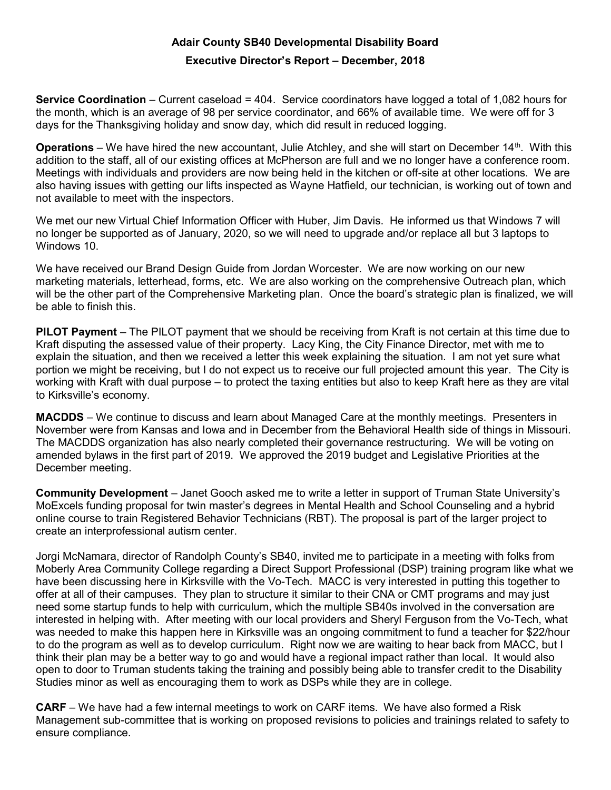## Adair County SB40 Developmental Disability Board

## Executive Director's Report – December, 2018

**Service Coordination** – Current caseload =  $404$ . Service coordinators have logged a total of 1,082 hours for the month, which is an average of 98 per service coordinator, and 66% of available time. We were off for 3 days for the Thanksgiving holiday and snow day, which did result in reduced logging.

**Operations** – We have hired the new accountant, Julie Atchley, and she will start on December 14<sup>th</sup>. With this addition to the staff, all of our existing offices at McPherson are full and we no longer have a conference room. Meetings with individuals and providers are now being held in the kitchen or off-site at other locations. We are also having issues with getting our lifts inspected as Wayne Hatfield, our technician, is working out of town and not available to meet with the inspectors.

We met our new Virtual Chief Information Officer with Huber, Jim Davis. He informed us that Windows 7 will no longer be supported as of January, 2020, so we will need to upgrade and/or replace all but 3 laptops to Windows 10.

We have received our Brand Design Guide from Jordan Worcester. We are now working on our new marketing materials, letterhead, forms, etc. We are also working on the comprehensive Outreach plan, which will be the other part of the Comprehensive Marketing plan. Once the board's strategic plan is finalized, we will be able to finish this.

PILOT Payment – The PILOT payment that we should be receiving from Kraft is not certain at this time due to Kraft disputing the assessed value of their property. Lacy King, the City Finance Director, met with me to explain the situation, and then we received a letter this week explaining the situation. I am not yet sure what portion we might be receiving, but I do not expect us to receive our full projected amount this year. The City is working with Kraft with dual purpose – to protect the taxing entities but also to keep Kraft here as they are vital to Kirksville's economy.

MACDDS – We continue to discuss and learn about Managed Care at the monthly meetings. Presenters in November were from Kansas and Iowa and in December from the Behavioral Health side of things in Missouri. The MACDDS organization has also nearly completed their governance restructuring. We will be voting on amended bylaws in the first part of 2019. We approved the 2019 budget and Legislative Priorities at the December meeting.

Community Development – Janet Gooch asked me to write a letter in support of Truman State University's MoExcels funding proposal for twin master's degrees in Mental Health and School Counseling and a hybrid online course to train Registered Behavior Technicians (RBT). The proposal is part of the larger project to create an interprofessional autism center.

Jorgi McNamara, director of Randolph County's SB40, invited me to participate in a meeting with folks from Moberly Area Community College regarding a Direct Support Professional (DSP) training program like what we have been discussing here in Kirksville with the Vo-Tech. MACC is very interested in putting this together to offer at all of their campuses. They plan to structure it similar to their CNA or CMT programs and may just need some startup funds to help with curriculum, which the multiple SB40s involved in the conversation are interested in helping with. After meeting with our local providers and Sheryl Ferguson from the Vo-Tech, what was needed to make this happen here in Kirksville was an ongoing commitment to fund a teacher for \$22/hour to do the program as well as to develop curriculum. Right now we are waiting to hear back from MACC, but I think their plan may be a better way to go and would have a regional impact rather than local. It would also open to door to Truman students taking the training and possibly being able to transfer credit to the Disability Studies minor as well as encouraging them to work as DSPs while they are in college.

CARF – We have had a few internal meetings to work on CARF items. We have also formed a Risk Management sub-committee that is working on proposed revisions to policies and trainings related to safety to ensure compliance.